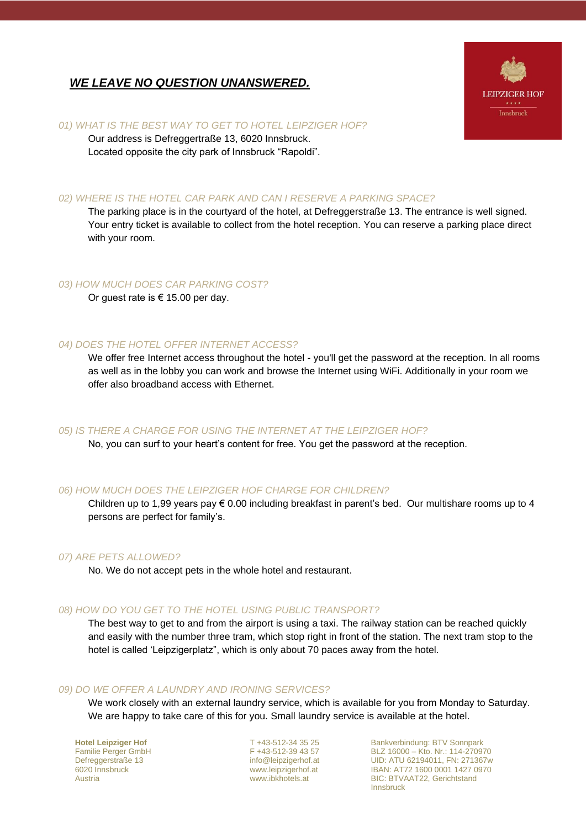# *WE LEAVE NO QUESTION UNANSWERED.*



## *01) WHAT IS THE BEST WAY TO GET TO HOTEL LEIPZIGER HOF?*

Our address is Defreggertraße 13, 6020 Innsbruck. Located opposite the city park of Innsbruck "Rapoldi".

## *02) WHERE IS THE HOTEL CAR PARK AND CAN I RESERVE A PARKING SPACE?*

The parking place is in the courtyard of the hotel, at Defreggerstraße 13. The entrance is well signed. Your entry ticket is available to collect from the hotel reception. You can reserve a parking place direct with your room.

## *03) HOW MUCH DOES CAR PARKING COST?*

Or guest rate is  $\epsilon$  15.00 per day.

## *04) DOES THE HOTEL OFFER INTERNET ACCESS?*

We offer free Internet access throughout the hotel - you'll get the password at the reception. In all rooms as well as in the lobby you can work and browse the Internet using WiFi. Additionally in your room we offer also broadband access with Ethernet.

## *05) IS THERE A CHARGE FOR USING THE INTERNET AT THE LEIPZIGER HOF?*

No, you can surf to your heart's content for free. You get the password at the reception.

## *06) HOW MUCH DOES THE LEIPZIGER HOF CHARGE FOR CHILDREN?*

Children up to 1,99 years pay  $\epsilon$  0.00 including breakfast in parent's bed. Our multishare rooms up to 4 persons are perfect for family's.

#### *07) ARE PETS ALLOWED?*

No. We do not accept pets in the whole hotel and restaurant.

## *08) HOW DO YOU GET TO THE HOTEL USING PUBLIC TRANSPORT?*

The best way to get to and from the airport is using a taxi. The railway station can be reached quickly and easily with the number three tram, which stop right in front of the station. The next tram stop to the hotel is called 'Leipzigerplatz", which is only about 70 paces away from the hotel.

#### *09) DO WE OFFER A LAUNDRY AND IRONING SERVICES?*

We work closely with an external laundry service, which is available for you from Monday to Saturday. We are happy to take care of this for you. Small laundry service is available at the hotel.

**Hotel Leipziger Hof** Familie Perger GmbH Defreggerstraße 13 6020 Innsbruck Austria

T +43-512-34 35 25 F +43-512-39 43 57 [info@leipzigerhof.at](mailto:info@leipzigerhof.at) [www.leipzigerhof.at](http://www.basic-hotel.at/) www.ibkhotels.at

Bankverbindung: BTV Sonnpark BLZ 16000 – Kto. Nr.: 114-270970 UID: ATU 62194011, FN: 271367w IBAN: AT72 1600 0001 1427 0970 BIC: BTVAAT22, Gerichtstand Innsbruck